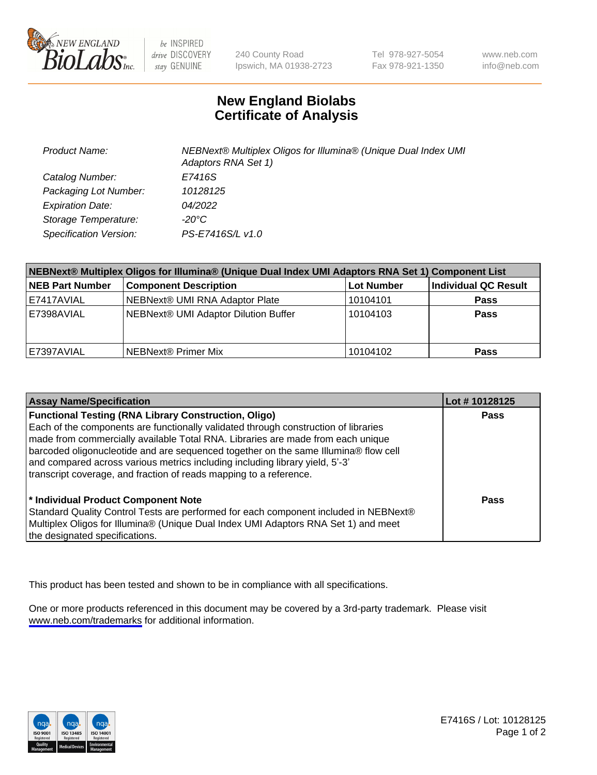

be INSPIRED drive DISCOVERY stay GENUINE

240 County Road Ipswich, MA 01938-2723 Tel 978-927-5054 Fax 978-921-1350

www.neb.com info@neb.com

## **New England Biolabs Certificate of Analysis**

| <b>Product Name:</b>    | NEBNext® Multiplex Oligos for Illumina® (Unique Dual Index UMI<br>Adaptors RNA Set 1) |
|-------------------------|---------------------------------------------------------------------------------------|
| Catalog Number:         | E7416S                                                                                |
| Packaging Lot Number:   | 10128125                                                                              |
| <b>Expiration Date:</b> | <i>04/2022</i>                                                                        |
| Storage Temperature:    | -20°C                                                                                 |
| Specification Version:  | PS-E7416S/L v1.0                                                                      |

| NEBNext® Multiplex Oligos for Illumina® (Unique Dual Index UMI Adaptors RNA Set 1) Component List |                                      |            |                      |  |
|---------------------------------------------------------------------------------------------------|--------------------------------------|------------|----------------------|--|
| <b>NEB Part Number</b>                                                                            | <b>Component Description</b>         | Lot Number | Individual QC Result |  |
| E7417AVIAL                                                                                        | NEBNext® UMI RNA Adaptor Plate       | 10104101   | <b>Pass</b>          |  |
| E7398AVIAL                                                                                        | NEBNext® UMI Adaptor Dilution Buffer | 10104103   | <b>Pass</b>          |  |
| E7397AVIAL                                                                                        | NEBNext® Primer Mix                  | 10104102   | <b>Pass</b>          |  |

| <b>Assay Name/Specification</b>                                                                                                                                                                                                                                                                                              | Lot #10128125 |
|------------------------------------------------------------------------------------------------------------------------------------------------------------------------------------------------------------------------------------------------------------------------------------------------------------------------------|---------------|
| <b>Functional Testing (RNA Library Construction, Oligo)</b><br>Each of the components are functionally validated through construction of libraries                                                                                                                                                                           | <b>Pass</b>   |
| made from commercially available Total RNA. Libraries are made from each unique<br>barcoded oligonucleotide and are sequenced together on the same Illumina® flow cell<br>and compared across various metrics including including library yield, 5'-3'<br>transcript coverage, and fraction of reads mapping to a reference. |               |
| * Individual Product Component Note<br>Standard Quality Control Tests are performed for each component included in NEBNext®<br>Multiplex Oligos for Illumina® (Unique Dual Index UMI Adaptors RNA Set 1) and meet<br>the designated specifications.                                                                          | Pass          |

This product has been tested and shown to be in compliance with all specifications.

One or more products referenced in this document may be covered by a 3rd-party trademark. Please visit <www.neb.com/trademarks>for additional information.